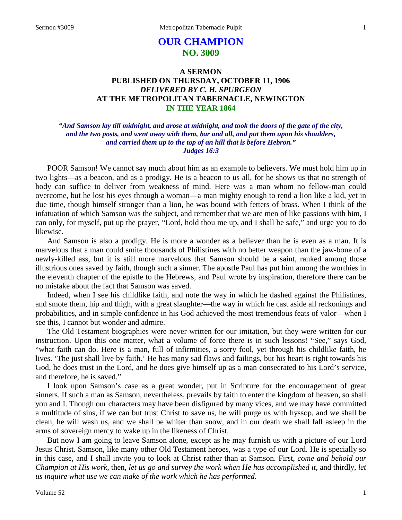# **OUR CHAMPION NO. 3009**

# **A SERMON PUBLISHED ON THURSDAY, OCTOBER 11, 1906** *DELIVERED BY C. H. SPURGEON* **AT THE METROPOLITAN TABERNACLE, NEWINGTON IN THE YEAR 1864**

# *"And Samson lay till midnight, and arose at midnight, and took the doors of the gate of the city, and the two posts, and went away with them, bar and all, and put them upon his shoulders, and carried them up to the top of an hill that is before Hebron." Judges 16:3*

POOR Samson! We cannot say much about him as an example to believers. We must hold him up in two lights—as a beacon, and as a prodigy. He is a beacon to us all, for he shows us that no strength of body can suffice to deliver from weakness of mind. Here was a man whom no fellow-man could overcome, but he lost his eyes through a woman—a man mighty enough to rend a lion like a kid, yet in due time, though himself stronger than a lion, he was bound with fetters of brass. When I think of the infatuation of which Samson was the subject, and remember that we are men of like passions with him, I can only, for myself, put up the prayer, "Lord, hold thou me up, and I shall be safe," and urge you to do likewise.

And Samson is also a prodigy. He is more a wonder as a believer than he is even as a man. It is marvelous that a man could smite thousands of Philistines with no better weapon than the jaw-bone of a newly-killed ass, but it is still more marvelous that Samson should be a saint, ranked among those illustrious ones saved by faith, though such a sinner. The apostle Paul has put him among the worthies in the eleventh chapter of the epistle to the Hebrews, and Paul wrote by inspiration, therefore there can be no mistake about the fact that Samson was saved.

Indeed, when I see his childlike faith, and note the way in which he dashed against the Philistines, and smote them, hip and thigh, with a great slaughter—the way in which he cast aside all reckonings and probabilities, and in simple confidence in his God achieved the most tremendous feats of valor—when I see this, I cannot but wonder and admire.

The Old Testament biographies were never written for our imitation, but they were written for our instruction. Upon this one matter, what a volume of force there is in such lessons! "See," says God, "what faith can do. Here is a man, full of infirmities, a sorry fool, yet through his childlike faith, he lives. 'The just shall live by faith.' He has many sad flaws and failings, but his heart is right towards his God, he does trust in the Lord, and he does give himself up as a man consecrated to his Lord's service, and therefore, he is saved."

I look upon Samson's case as a great wonder, put in Scripture for the encouragement of great sinners. If such a man as Samson, nevertheless, prevails by faith to enter the kingdom of heaven, so shall you and I. Though our characters may have been disfigured by many vices, and we may have committed a multitude of sins, if we can but trust Christ to save us, he will purge us with hyssop, and we shall be clean, he will wash us, and we shall be whiter than snow, and in our death we shall fall asleep in the arms of sovereign mercy to wake up in the likeness of Christ.

But now I am going to leave Samson alone, except as he may furnish us with a picture of our Lord Jesus Christ. Samson, like many other Old Testament heroes, was a type of our Lord. He is specially so in this case, and I shall invite you to look at Christ rather than at Samson. First, *come and behold our Champion at His work,* then, *let us go and survey the work when He has accomplished it,* and thirdly, *let us inquire what use we can make of the work which he has performed.*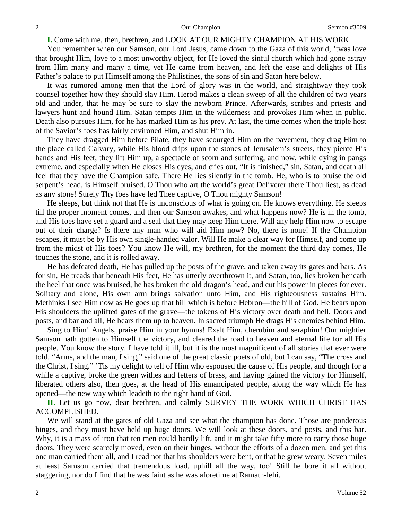**I.** Come with me, then, brethren, and LOOK AT OUR MIGHTY CHAMPION AT HIS WORK.

You remember when our Samson, our Lord Jesus, came down to the Gaza of this world, 'twas love that brought Him, love to a most unworthy object, for He loved the sinful church which had gone astray from Him many and many a time, yet He came from heaven, and left the ease and delights of His Father's palace to put Himself among the Philistines, the sons of sin and Satan here below.

It was rumored among men that the Lord of glory was in the world, and straightway they took counsel together how they should slay Him. Herod makes a clean sweep of all the children of two years old and under, that he may be sure to slay the newborn Prince. Afterwards, scribes and priests and lawyers hunt and hound Him. Satan tempts Him in the wilderness and provokes Him when in public. Death also pursues Him, for he has marked Him as his prey. At last, the time comes when the triple host of the Savior's foes has fairly environed Him, and shut Him in.

They have dragged Him before Pilate, they have scourged Him on the pavement, they drag Him to the place called Calvary, while His blood drips upon the stones of Jerusalem's streets, they pierce His hands and His feet, they lift Him up, a spectacle of scorn and suffering, and now, while dying in pangs extreme, and especially when He closes His eyes, and cries out, "It is finished," sin, Satan, and death all feel that they have the Champion safe. There He lies silently in the tomb. He, who is to bruise the old serpent's head, is Himself bruised. O Thou who art the world's great Deliverer there Thou liest, as dead as any stone! Surely Thy foes have led Thee captive, O Thou mighty Samson!

He sleeps, but think not that He is unconscious of what is going on. He knows everything. He sleeps till the proper moment comes, and then our Samson awakes, and what happens now? He is in the tomb, and His foes have set a guard and a seal that they may keep Him there. Will any help Him now to escape out of their charge? Is there any man who will aid Him now? No, there is none! If the Champion escapes, it must be by His own single-handed valor. Will He make a clear way for Himself, and come up from the midst of His foes? You know He will, my brethren, for the moment the third day comes, He touches the stone, and it is rolled away.

He has defeated death, He has pulled up the posts of the grave, and taken away its gates and bars. As for sin, He treads that beneath His feet, He has utterly overthrown it, and Satan, too, lies broken beneath the heel that once was bruised, he has broken the old dragon's head, and cut his power in pieces for ever. Solitary and alone, His own arm brings salvation unto Him, and His righteousness sustains Him. Methinks I see Him now as He goes up that hill which is before Hebron—the hill of God. He bears upon His shoulders the uplifted gates of the grave—the tokens of His victory over death and hell. Doors and posts, and bar and all, He bears them up to heaven. In sacred triumph He drags His enemies behind Him.

Sing to Him! Angels, praise Him in your hymns! Exalt Him, cherubim and seraphim! Our mightier Samson hath gotten to Himself the victory, and cleared the road to heaven and eternal life for all His people. You know the story. I have told it ill, but it is the most magnificent of all stories that ever were told. "Arms, and the man, I sing," said one of the great classic poets of old, but I can say, "The cross and the Christ, I sing." 'Tis my delight to tell of Him who espoused the cause of His people, and though for a while a captive, broke the green withes and fetters of brass, and having gained the victory for Himself, liberated others also, then goes, at the head of His emancipated people, along the way which He has opened—the new way which leadeth to the right hand of God.

**II.** Let us go now, dear brethren, and calmly SURVEY THE WORK WHICH CHRIST HAS ACCOMPLISHED.

We will stand at the gates of old Gaza and see what the champion has done. Those are ponderous hinges, and they must have held up huge doors. We will look at these doors, and posts, and this bar. Why, it is a mass of iron that ten men could hardly lift, and it might take fifty more to carry those huge doors. They were scarcely moved, even on their hinges, without the efforts of a dozen men, and yet this one man carried them all, and I read not that his shoulders were bent, or that he grew weary. Seven miles at least Samson carried that tremendous load, uphill all the way, too! Still he bore it all without staggering, nor do I find that he was faint as he was aforetime at Ramath-lehi.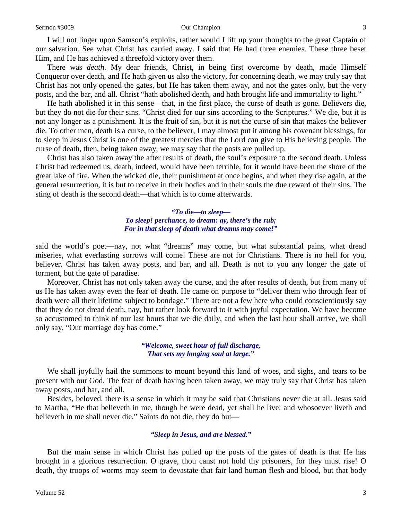I will not linger upon Samson's exploits, rather would I lift up your thoughts to the great Captain of our salvation. See what Christ has carried away. I said that He had three enemies. These three beset Him, and He has achieved a threefold victory over them.

There was *death*. My dear friends, Christ, in being first overcome by death, made Himself Conqueror over death, and He hath given us also the victory, for concerning death, we may truly say that Christ has not only opened the gates, but He has taken them away, and not the gates only, but the very posts, and the bar, and all. Christ "hath abolished death, and hath brought life and immortality to light."

He hath abolished it in this sense—that, in the first place, the curse of death is gone. Believers die, but they do not die for their sins. "Christ died for our sins according to the Scriptures." We die, but it is not any longer as a punishment. It is the fruit of sin, but it is not the curse of sin that makes the believer die. To other men, death is a curse, to the believer, I may almost put it among his covenant blessings, for to sleep in Jesus Christ is one of the greatest mercies that the Lord can give to His believing people. The curse of death, then, being taken away, we may say that the posts are pulled up.

Christ has also taken away the after results of death, the soul's exposure to the second death. Unless Christ had redeemed us, death, indeed, would have been terrible, for it would have been the shore of the great lake of fire. When the wicked die, their punishment at once begins, and when they rise again, at the general resurrection, it is but to receive in their bodies and in their souls the due reward of their sins. The sting of death is the second death—that which is to come afterwards.

#### *"To die—to sleep— To sleep! perchance, to dream: ay, there's the rub; For in that sleep of death what dreams may come!"*

said the world's poet—nay, not what "dreams" may come, but what substantial pains, what dread miseries, what everlasting sorrows will come! These are not for Christians. There is no hell for you, believer. Christ has taken away posts, and bar, and all. Death is not to you any longer the gate of torment, but the gate of paradise.

Moreover, Christ has not only taken away the curse, and the after results of death, but from many of us He has taken away even the fear of death. He came on purpose to "deliver them who through fear of death were all their lifetime subject to bondage." There are not a few here who could conscientiously say that they do not dread death, nay, but rather look forward to it with joyful expectation. We have become so accustomed to think of our last hours that we die daily, and when the last hour shall arrive, we shall only say, "Our marriage day has come."

> *"Welcome, sweet hour of full discharge, That sets my longing soul at large."*

We shall joyfully hail the summons to mount beyond this land of woes, and sighs, and tears to be present with our God. The fear of death having been taken away, we may truly say that Christ has taken away posts, and bar, and all.

Besides, beloved, there is a sense in which it may be said that Christians never die at all. Jesus said to Martha, "He that believeth in me, though he were dead, yet shall he live: and whosoever liveth and believeth in me shall never die." Saints do not die, they do but—

#### *"Sleep in Jesus, and are blessed."*

But the main sense in which Christ has pulled up the posts of the gates of death is that He has brought in a glorious resurrection. O grave, thou canst not hold thy prisoners, for they must rise! O death, thy troops of worms may seem to devastate that fair land human flesh and blood, but that body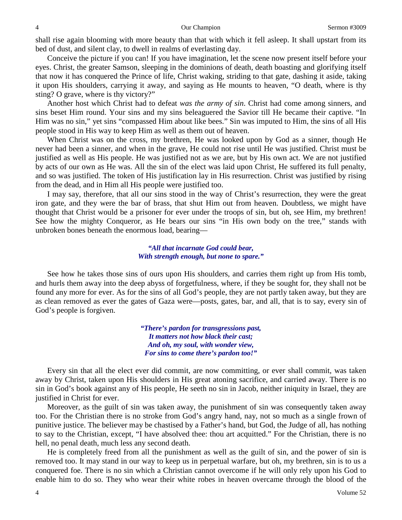shall rise again blooming with more beauty than that with which it fell asleep. It shall upstart from its bed of dust, and silent clay, to dwell in realms of everlasting day.

Conceive the picture if you can! If you have imagination, let the scene now present itself before your eyes. Christ, the greater Samson, sleeping in the dominions of death, death boasting and glorifying itself that now it has conquered the Prince of life, Christ waking, striding to that gate, dashing it aside, taking it upon His shoulders, carrying it away, and saying as He mounts to heaven, "O death, where is thy sting? O grave, where is thy victory?"

Another host which Christ had to defeat *was the army of sin*. Christ had come among sinners, and sins beset Him round. Your sins and my sins beleaguered the Savior till He became their captive. "In Him was no sin," yet sins "compassed Him about like bees." Sin was imputed to Him, the sins of all His people stood in His way to keep Him as well as them out of heaven.

When Christ was on the cross, my brethren, He was looked upon by God as a sinner, though He never had been a sinner, and when in the grave, He could not rise until He was justified. Christ must be justified as well as His people. He was justified not as we are, but by His own act. We are not justified by acts of our own as He was. All the sin of the elect was laid upon Christ, He suffered its full penalty, and so was justified. The token of His justification lay in His resurrection. Christ was justified by rising from the dead, and in Him all His people were justified too.

I may say, therefore, that all our sins stood in the way of Christ's resurrection, they were the great iron gate, and they were the bar of brass, that shut Him out from heaven. Doubtless, we might have thought that Christ would be a prisoner for ever under the troops of sin, but oh, see Him, my brethren! See how the mighty Conqueror, as He bears our sins "in His own body on the tree," stands with unbroken bones beneath the enormous load, bearing—

### *"All that incarnate God could bear, With strength enough, but none to spare."*

See how he takes those sins of ours upon His shoulders, and carries them right up from His tomb, and hurls them away into the deep abyss of forgetfulness, where, if they be sought for, they shall not be found any more for ever. As for the sins of all God's people, they are not partly taken away, but they are as clean removed as ever the gates of Gaza were—posts, gates, bar, and all, that is to say, every sin of God's people is forgiven.

> *"There's pardon for transgressions past, It matters not how black their cast; And oh, my soul, with wonder view, For sins to come there's pardon too!"*

Every sin that all the elect ever did commit, are now committing, or ever shall commit, was taken away by Christ, taken upon His shoulders in His great atoning sacrifice, and carried away. There is no sin in God's book against any of His people, He seeth no sin in Jacob, neither iniquity in Israel, they are justified in Christ for ever.

Moreover, as the guilt of sin was taken away, the punishment of sin was consequently taken away too. For the Christian there is no stroke from God's angry hand, nay, not so much as a single frown of punitive justice. The believer may be chastised by a Father's hand, but God, the Judge of all, has nothing to say to the Christian, except, "I have absolved thee: thou art acquitted." For the Christian, there is no hell, no penal death, much less any second death.

He is completely freed from all the punishment as well as the guilt of sin, and the power of sin is removed too. It may stand in our way to keep us in perpetual warfare, but oh, my brethren, sin is to us a conquered foe. There is no sin which a Christian cannot overcome if he will only rely upon his God to enable him to do so. They who wear their white robes in heaven overcame through the blood of the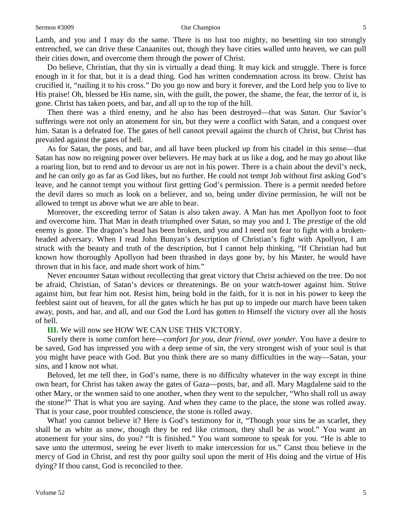Lamb, and you and I may do the same. There is no lust too mighty, no besetting sin too strongly entrenched, we can drive these Canaanites out, though they have cities walled unto heaven, we can pull their cities down, and overcome them through the power of Christ.

Do believe, Christian, that thy sin is virtually a dead thing. It may kick and struggle. There is force enough in it for that, but it is a dead thing. God has written condemnation across its brow. Christ has crucified it, "nailing it to his cross." Do you go now and bury it forever, and the Lord help you to live to His praise! Oh, blessed be His name, sin, with the guilt, the power, the shame, the fear, the terror of it, is gone. Christ has taken poets, and bar, and all up to the top of the hill.

Then there was a third enemy, and he also has been destroyed—that was *Satan*. Our Savior's sufferings were not only an atonement for sin, but they were a conflict with Satan, and a conquest over him. Satan is a defeated foe. The gates of hell cannot prevail against the church of Christ, but Christ has prevailed against the gates of hell.

As for Satan, the posts, and bar, and all have been plucked up from his citadel in this sense—that Satan has now no reigning power over believers. He may bark at us like a dog, and he may go about like a roaring lion, but to rend and to devour us are not in his power. There is a chain about the devil's neck, and he can only go as far as God likes, but no further. He could not tempt Job without first asking God's leave, and he cannot tempt you without first getting God's permission. There is a permit needed before the devil dares so much as look on a believer, and so, being under divine permission, he will not be allowed to tempt us above what we are able to bear.

Moreover, the exceeding terror of Satan is also taken away. A Man has met Apollyon foot to foot and overcome him. That Man in death triumphed over Satan, so may you and I. The *prestige* of the old enemy is gone. The dragon's head has been broken, and you and I need not fear to fight with a brokenheaded adversary. When I read John Bunyan's description of Christian's fight with Apollyon, I am struck with the beauty and truth of the description, but I cannot help thinking, "If Christian had but known how thoroughly Apollyon had been thrashed in days gone by, by his Master, he would have thrown that in his face, and made short work of him."

Never encounter Satan without recollecting that great victory that Christ achieved on the tree. Do not be afraid, Christian, of Satan's devices or threatenings. Be on your watch-tower against him. Strive against him, but fear him not. Resist him, being bold in the faith, for it is not in his power to keep the feeblest saint out of heaven, for all the gates which he has put up to impede our march have been taken away, posts, and bar, and all, and our God the Lord has gotten to Himself the victory over all the hosts of hell.

### **III.** We will now see HOW WE CAN USE THIS VICTORY.

Surely there is some comfort here—*comfort for you, dear friend, over yonder.* You have a desire to be saved, God has impressed you with a deep sense of sin, the very strongest wish of your soul is that you might have peace with God. But you think there are so many difficulties in the way—Satan, your sins, and I know not what.

Beloved, let me tell thee, in God's name, there is no difficulty whatever in the way except in thine own heart, for Christ has taken away the gates of Gaza—posts, bar, and all. Mary Magdalene said to the other Mary, or the women said to one another, when they went to the sepulcher, "Who shall roll us away the stone?" That is what you are saying. And when they came to the place, the stone was rolled away. That is your case, poor troubled conscience, the stone is rolled away.

What! you cannot believe it? Here is God's testimony for it, "Though your sins be as scarlet, they shall be as white as snow, though they be red like crimson, they shall be as wool." You want an atonement for your sins, do you? "It is finished." You want someone to speak for you. "He is able to save unto the uttermost, seeing he ever liveth to make intercession for us." Canst thou believe in the mercy of God in Christ, and rest thy poor guilty soul upon the merit of His doing and the virtue of His dying? If thou canst, God is reconciled to thee.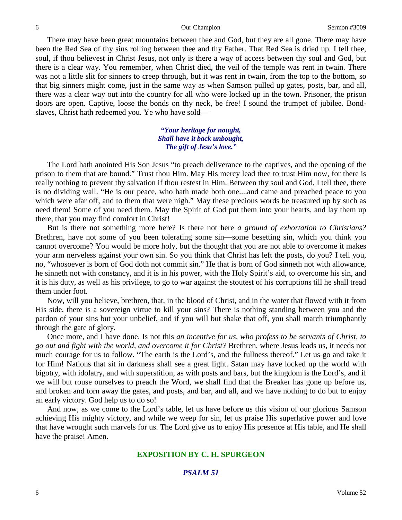There may have been great mountains between thee and God, but they are all gone. There may have been the Red Sea of thy sins rolling between thee and thy Father. That Red Sea is dried up. I tell thee, soul, if thou believest in Christ Jesus, not only is there a way of access between thy soul and God, but there is a clear way. You remember, when Christ died, the veil of the temple was rent in twain. There was not a little slit for sinners to creep through, but it was rent in twain, from the top to the bottom, so that big sinners might come, just in the same way as when Samson pulled up gates, posts, bar, and all, there was a clear way out into the country for all who were locked up in the town. Prisoner, the prison doors are open. Captive, loose the bonds on thy neck, be free! I sound the trumpet of jubilee. Bondslaves, Christ hath redeemed you. Ye who have sold—

### *"Your heritage for nought, Shall have it back unbought, The gift of Jesu's love."*

The Lord hath anointed His Son Jesus "to preach deliverance to the captives, and the opening of the prison to them that are bound." Trust thou Him. May His mercy lead thee to trust Him now, for there is really nothing to prevent thy salvation if thou restest in Him. Between thy soul and God, I tell thee, there is no dividing wall. "He is our peace, who hath made both one....and came and preached peace to you which were afar off, and to them that were nigh." May these precious words be treasured up by such as need them! Some of you need them. May the Spirit of God put them into your hearts, and lay them up there, that you may find comfort in Christ!

But is there not something more here? Is there not here *a ground of exhortation to Christians?* Brethren, have not some of you been tolerating some sin—some besetting sin, which you think you cannot overcome? You would be more holy, but the thought that you are not able to overcome it makes your arm nerveless against your own sin. So you think that Christ has left the posts, do you? I tell you, no, "whosoever is born of God doth not commit sin." He that is born of God sinneth not with allowance, he sinneth not with constancy, and it is in his power, with the Holy Spirit's aid, to overcome his sin, and it is his duty, as well as his privilege, to go to war against the stoutest of his corruptions till he shall tread them under foot.

Now, will you believe, brethren, that, in the blood of Christ, and in the water that flowed with it from His side, there is a sovereign virtue to kill your sins? There is nothing standing between you and the pardon of your sins but your unbelief, and if you will but shake that off, you shall march triumphantly through the gate of glory.

Once more, and I have done. Is not this *an incentive for us, who profess to be servants of Christ, to go out and fight with the world, and overcome it for Christ?* Brethren, where Jesus leads us, it needs not much courage for us to follow. "The earth is the Lord's, and the fullness thereof." Let us go and take it for Him! Nations that sit in darkness shall see a great light. Satan may have locked up the world with bigotry, with idolatry, and with superstition, as with posts and bars, but the kingdom is the Lord's, and if we will but rouse ourselves to preach the Word, we shall find that the Breaker has gone up before us, and broken and torn away the gates, and posts, and bar, and all, and we have nothing to do but to enjoy an early victory. God help us to do so!

And now, as we come to the Lord's table, let us have before us this vision of our glorious Samson achieving His mighty victory, and while we weep for sin, let us praise His superlative power and love that have wrought such marvels for us. The Lord give us to enjoy His presence at His table, and He shall have the praise! Amen.

# **EXPOSITION BY C. H. SPURGEON**

# *PSALM 51*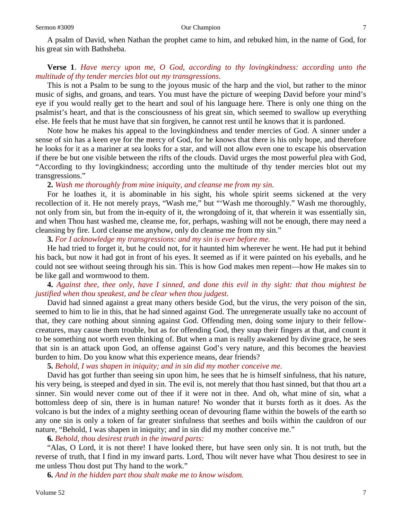A psalm of David, when Nathan the prophet came to him, and rebuked him, in the name of God, for his great sin with Bathsheba.

# **Verse 1**. *Have mercy upon me, O God, according to thy lovingkindness: according unto the multitude of thy tender mercies blot out my transgressions.*

This is not a Psalm to be sung to the joyous music of the harp and the viol, but rather to the minor music of sighs, and groans, and tears. You must have the picture of weeping David before your mind's eye if you would really get to the heart and soul of his language here. There is only one thing on the psalmist's heart, and that is the consciousness of his great sin, which seemed to swallow up everything else. He feels that he must have that sin forgiven, he cannot rest until he knows that it is pardoned.

Note how he makes his appeal to the lovingkindness and tender mercies of God. A sinner under a sense of sin has a keen eye for the mercy of God, for he knows that there is his only hope, and therefore he looks for it as a mariner at sea looks for a star, and will not allow even one to escape his observation if there be but one visible between the rifts of the clouds. David urges the most powerful plea with God, "According to thy lovingkindness; according unto the multitude of thy tender mercies blot out my transgressions."

**2.** *Wash me thoroughly from mine iniquity, and cleanse me from my sin.*

For he loathes it, it is abominable in his sight, his whole spirit seems sickened at the very recollection of it. He not merely prays, "Wash me," but "'Wash me thoroughly." Wash me thoroughly, not only from sin, but from the in-equity of it, the wrongdoing of it, that wherein it was essentially sin, and when Thou hast washed me, cleanse me, for, perhaps, washing will not be enough, there may need a cleansing by fire. Lord cleanse me anyhow, only do cleanse me from my sin."

**3.** *For I acknowledge my transgressions: and my sin is ever before me.*

He had tried to forget it, but he could not, for it haunted him wherever he went. He had put it behind his back, but now it had got in front of his eyes. It seemed as if it were painted on his eyeballs, and he could not see without seeing through his sin. This is how God makes men repent—how He makes sin to be like gall and wormwood to them.

# **4.** *Against thee, thee only, have I sinned, and done this evil in thy sight: that thou mightest be justified when thou speakest, and be clear when thou judgest.*

David had sinned against a great many others beside God, but the virus, the very poison of the sin, seemed to him to lie in this, that he had sinned against God. The unregenerate usually take no account of that, they care nothing about sinning against God. Offending men, doing some injury to their fellowcreatures, may cause them trouble, but as for offending God, they snap their fingers at that, and count it to be something not worth even thinking of. But when a man is really awakened by divine grace, he sees that sin is an attack upon God, an offense against God's very nature, and this becomes the heaviest burden to him. Do you know what this experience means, dear friends?

# **5.** *Behold, I was shapen in iniquity; and in sin did my mother conceive me.*

David has got further than seeing sin upon him, he sees that he is himself sinfulness, that his nature, his very being, is steeped and dyed in sin. The evil is, not merely that thou hast sinned, but that thou art a sinner. Sin would never come out of thee if it were not in thee. And oh, what mine of sin, what a bottomless deep of sin, there is in human nature! No wonder that it bursts forth as it does. As the volcano is but the index of a mighty seething ocean of devouring flame within the bowels of the earth so any one sin is only a token of far greater sinfulness that seethes and boils within the cauldron of our nature, "Behold, I was shapen in iniquity; and in sin did my mother conceive me."

#### **6.** *Behold, thou desirest truth in the inward parts:*

"Alas, O Lord, it is not there! I have looked there, but have seen only sin. It is not truth, but the reverse of truth, that I find in my inward parts. Lord, Thou wilt never have what Thou desirest to see in me unless Thou dost put Thy hand to the work."

**6.** *And in the hidden part thou shalt make me to know wisdom.*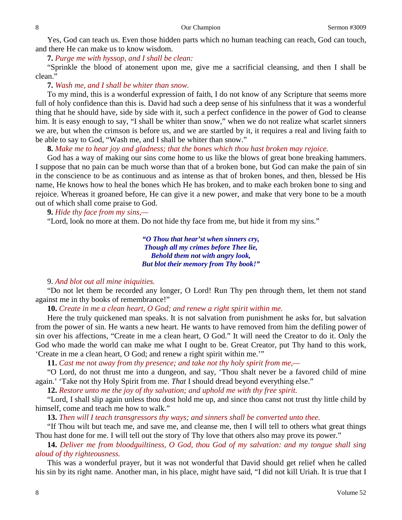Yes, God can teach us. Even those hidden parts which no human teaching can reach, God can touch, and there He can make us to know wisdom.

**7.** *Purge me with hyssop, and I shall be clean:*

"Sprinkle the blood of atonement upon me, give me a sacrificial cleansing, and then I shall be clean.'

**7.** *Wash me, and I shall be whiter than snow.*

To my mind, this is a wonderful expression of faith, I do not know of any Scripture that seems more full of holy confidence than this is. David had such a deep sense of his sinfulness that it was a wonderful thing that he should have, side by side with it, such a perfect confidence in the power of God to cleanse him. It is easy enough to say, "I shall be whiter than snow," when we do not realize what scarlet sinners we are, but when the crimson is before us, and we are startled by it, it requires a real and living faith to be able to say to God, "Wash me, and I shall be whiter than snow."

**8.** *Make me to hear joy and gladness; that the bones which thou hast broken may rejoice.*

God has a way of making our sins come home to us like the blows of great bone breaking hammers. I suppose that no pain can be much worse than that of a broken bone, but God can make the pain of sin in the conscience to be as continuous and as intense as that of broken bones, and then, blessed be His name, He knows how to heal the bones which He has broken, and to make each broken bone to sing and rejoice. Whereas it groaned before, He can give it a new power, and make that very bone to be a mouth out of which shall come praise to God.

**9.** *Hide thy face from my sins,—*

"Lord, look no more at them. Do not hide thy face from me, but hide it from my sins."

*"O Thou that hear'st when sinners cry, Though all my crimes before Thee lie, Behold them not with angry look, But blot their memory from Thy book!"*

## 9. *And blot out all mine iniquities.*

"Do not let them be recorded any longer, O Lord! Run Thy pen through them, let them not stand against me in thy books of remembrance!"

**10.** *Create in me a clean heart, O God; and renew a right spirit within me.*

Here the truly quickened man speaks. It is not salvation from punishment he asks for, but salvation from the power of sin. He wants a new heart. He wants to have removed from him the defiling power of sin over his affections, "Create in me a clean heart, O God." It will need the Creator to do it. Only the God who made the world can make me what I ought to be. Great Creator, put Thy hand to this work, 'Create in me a clean heart, O God; and renew a right spirit within me.'"

**11.** *Cast me not away from thy presence; and take not thy holy spirit from me,—*

"O Lord, do not thrust me into a dungeon, and say, 'Thou shalt never be a favored child of mine again.' 'Take not thy Holy Spirit from me. *That* I should dread beyond everything else."

**12.** *Restore unto me the joy of thy salvation; and uphold me with thy free spirit.*

"Lord, I shall slip again unless thou dost hold me up, and since thou canst not trust thy little child by himself, come and teach me how to walk."

**13.** *Then will I teach transgressors thy ways; and sinners shall be converted unto thee.*

"If Thou wilt but teach me, and save me, and cleanse me, then I will tell to others what great things Thou hast done for me. I will tell out the story of Thy love that others also may prove its power."

**14.** *Deliver me from bloodguiltiness, O God, thou God of my salvation: and my tongue shall sing aloud of thy righteousness.*

This was a wonderful prayer, but it was not wonderful that David should get relief when he called his sin by its right name. Another man, in his place, might have said, "I did not kill Uriah. It is true that I